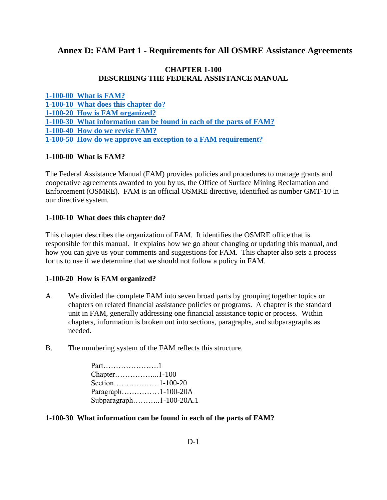# **Annex D: FAM Part 1 - Requirements for All OSMRE Assistance Agreements**

### **CHAPTER 1-100 DESCRIBING THE FEDERAL ASSISTANCE MANUAL**

**[1-100-00 What is FAM?](#page-0-0) [1-100-10 What does this chapter do?](#page-0-1) [1-100-20 How is FAM organized?](#page-0-2) [1-100-30 What information can be found in each of the parts of FAM?](#page-0-3) [1-100-40 How do we revise FAM?](#page-1-0) [1-100-50 How do we approve an exception to a FAM requirement?](#page-2-0)**

### <span id="page-0-0"></span>**1-100-00 What is FAM?**

The Federal Assistance Manual (FAM) provides policies and procedures to manage grants and cooperative agreements awarded to you by us, the Office of Surface Mining Reclamation and Enforcement (OSMRE). FAM is an official OSMRE directive, identified as number GMT-10 in our directive system.

#### <span id="page-0-1"></span>**1-100-10 What does this chapter do?**

This chapter describes the organization of FAM. It identifies the OSMRE office that is responsible for this manual. It explains how we go about changing or updating this manual, and how you can give us your comments and suggestions for FAM. This chapter also sets a process for us to use if we determine that we should not follow a policy in FAM.

#### <span id="page-0-2"></span>**1-100-20 How is FAM organized?**

- A. We divided the complete FAM into seven broad parts by grouping together topics or chapters on related financial assistance policies or programs. A chapter is the standard unit in FAM, generally addressing one financial assistance topic or process. Within chapters, information is broken out into sections, paragraphs, and subparagraphs as needed.
- B. The numbering system of the FAM reflects this structure.

Part………………….1 Chapter……………...1-100 Section………………1-100-20 Paragraph……………1-100-20A Subparagraph………..1-100-20A.1

#### <span id="page-0-3"></span>**1-100-30 What information can be found in each of the parts of FAM?**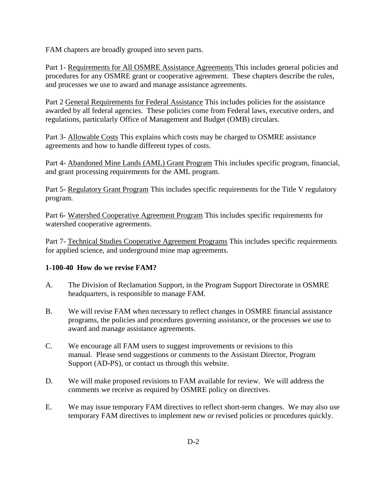FAM chapters are broadly grouped into seven parts.

Part 1- Requirements for All OSMRE Assistance Agreements This includes general policies and procedures for any OSMRE grant or cooperative agreement. These chapters describe the rules, and processes we use to award and manage assistance agreements.

Part 2 General Requirements for Federal Assistance This includes policies for the assistance awarded by all federal agencies. These policies come from Federal laws, executive orders, and regulations, particularly Office of Management and Budget (OMB) circulars.

Part 3- Allowable Costs This explains which costs may be charged to OSMRE assistance agreements and how to handle different types of costs.

Part 4- Abandoned Mine Lands (AML) Grant Program This includes specific program, financial, and grant processing requirements for the AML program.

Part 5- Regulatory Grant Program This includes specific requirements for the Title V regulatory program.

Part 6- Watershed Cooperative Agreement Program This includes specific requirements for watershed cooperative agreements.

Part 7- Technical Studies Cooperative Agreement Programs This includes specific requirements for applied science, and underground mine map agreements.

## <span id="page-1-0"></span>**1-100-40 How do we revise FAM?**

- A. The Division of Reclamation Support, in the Program Support Directorate in OSMRE headquarters, is responsible to manage FAM.
- B. We will revise FAM when necessary to reflect changes in OSMRE financial assistance programs, the policies and procedures governing assistance, or the processes we use to award and manage assistance agreements.
- C. We encourage all FAM users to suggest improvements or revisions to this manual. Please send suggestions or comments to the Assistant Director, Program Support (AD-PS), or contact us through this website.
- D. We will make proposed revisions to FAM available for review. We will address the comments we receive as required by OSMRE policy on directives.
- E. We may issue temporary FAM directives to reflect short-term changes. We may also use temporary FAM directives to implement new or revised policies or procedures quickly.